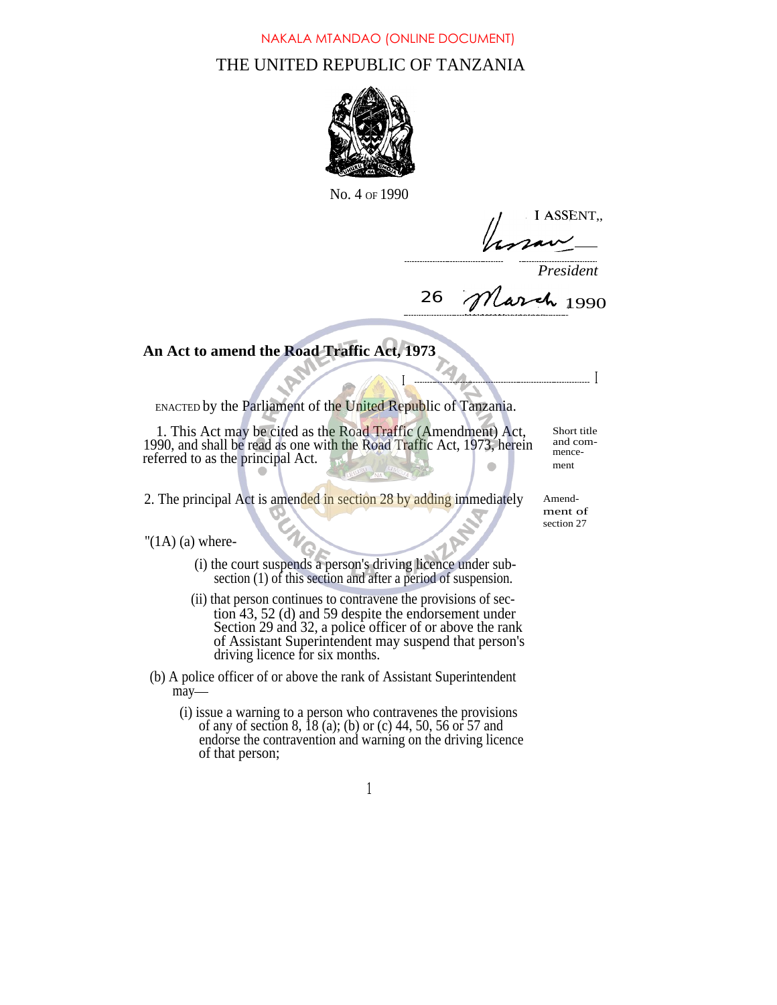## THE UNITED REPUBLIC OF TANZANIA NAKALA MTANDAO (ONLINE DOCUMENT)



No. 4 OF 1990

I ASSENT,,

*President*

26 *March* 1990

I I

## **An Act to amend the Road Traffic Act, 1973**

ENACTED by the Parliament of the United Republic of Tanzania.

1. This Act may be cited as the Road Traffic (Amendment) Act, 1990, and shall be read as one with the Road Traffic Act, 1973, herein referred to as the principal Act.

Short title and commencement

2. The principal Act is amended in section 28 by adding immediately Amend-

ment of section 27

" $(1A)$  (a) where-

- (i) the court suspends a person's driving licence under subsection (1) of this section and after a period of suspension.
- (ii) that person continues to contravene the provisions of section 43, 52 (d) and 59 despite the endorsement under Section 29 and 32, a police officer of or above the rank of Assistant Superintendent may suspend that person's driving licence for six months.
- (b) A police officer of or above the rank of Assistant Superintendent may-
	- (i) issue a warning to a person who contravenes the provisions of any of section 8, 18 (a); (b) or (c) 44, 50, 56 or 57 and endorse the contravention and warning on the driving licence of that person;

1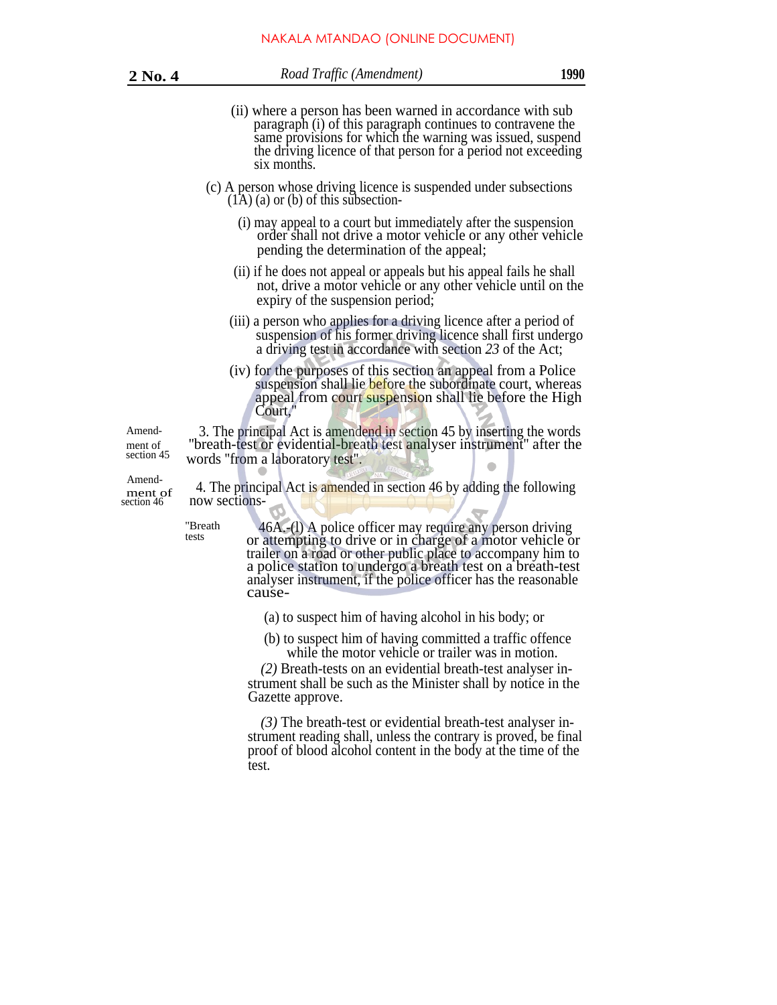| ٠ |  | ٥ |  |
|---|--|---|--|
|---|--|---|--|

- (ii) where a person has been warned in accordance with sub paragraph (i) of this paragraph continues to contravene the same provisions for which the warning was issued, suspend the driving licence of that person for a period not exceeding six months.
- (c) A person whose driving licence is suspended under subsections  $(1A)$  (a) or (b) of this subsection-
	- (i) may appeal to a court but immediately after the suspension order shall not drive a motor vehicle or any other vehicle pending the determination of the appeal;
	- (ii) if he does not appeal or appeals but his appeal fails he shall not, drive a motor vehicle or any other vehicle until on the expiry of the suspension period;
	- (iii) a person who applies for a driving licence after a period of suspension of his former driving licence shall first undergo a driving test in accordance with section *23* of the Act;
	- (iv) for the purposes of this section an appeal from a Police suspension shall lie before the subordinate court, whereas appeal from court suspension shall lie before the High Court,

Amend- 3. The principal Act is amendend in section 45 by inserting the words ment of ''breath-test of evidential-breath test analyser instrument'' after the section 45 words "from a laboratory test" words "from a laboratory test".

Amend-

 $m_{\text{net of}}$  4. The principal Act is amended in section 46 by adding the following section 46 now sections-

> ''Breath tests

46A.-(l) A police officer may require any person driving or attempting to drive or in charge of a motor vehicle or trailer on a road or other public place to accompany him to a police station to undergo a breath test on a breath-test analyser instrument, if the police officer has the reasonable cause-

(a) to suspect him of having alcohol in his body; or

(b) to suspect him of having committed a traffic offence while the motor vehicle or trailer was in motion.

*(2)* Breath-tests on an evidential breath-test analyser instrument shall be such as the Minister shall by notice in the Gazette approve.

*(3)* The breath-test or evidential breath-test analyser instrument reading shall, unless the contrary is proved, be final proof of blood alcohol content in the body at the time of the test.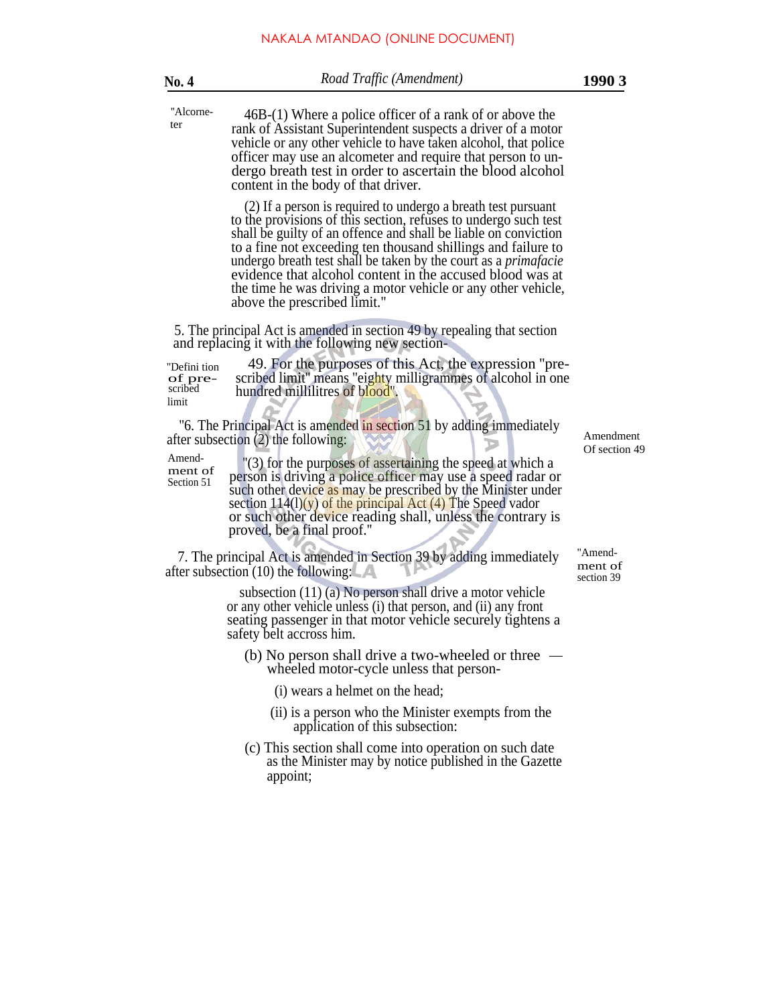| <b>No. 4</b>                                                                                                  | Road Traffic (Amendment)                                                                                                                                                                                                                                                                                                                                                                                                                                                                                     | 1990 3        |  |
|---------------------------------------------------------------------------------------------------------------|--------------------------------------------------------------------------------------------------------------------------------------------------------------------------------------------------------------------------------------------------------------------------------------------------------------------------------------------------------------------------------------------------------------------------------------------------------------------------------------------------------------|---------------|--|
| "Alcorne-<br>ter                                                                                              | 46B-(1) Where a police officer of a rank of or above the<br>rank of Assistant Superintendent suspects a driver of a motor<br>vehicle or any other vehicle to have taken alcohol, that police<br>officer may use an alcometer and require that person to un-<br>dergo breath test in order to ascertain the blood alcohol<br>content in the body of that driver.                                                                                                                                              |               |  |
|                                                                                                               | (2) If a person is required to undergo a breath test pursuant<br>to the provisions of this section, refuses to undergo such test<br>shall be guilty of an offence and shall be liable on conviction<br>to a fine not exceeding ten thousand shillings and failure to<br>undergo breath test shall be taken by the court as a <i>primafacie</i><br>evidence that alcohol content in the accused blood was at<br>the time he was driving a motor vehicle or any other vehicle,<br>above the prescribed limit." |               |  |
|                                                                                                               | 5. The principal Act is amended in section 49 by repealing that section<br>and replacing it with the following new section-                                                                                                                                                                                                                                                                                                                                                                                  |               |  |
| "Defini tion<br>of pre-<br>scribed<br>limit                                                                   | 49. For the purposes of this Act, the expression "pre-<br>scribed limit" means "eighty milligrammes of alcohol in one<br>hundred millilitres of blood".                                                                                                                                                                                                                                                                                                                                                      |               |  |
| "6. The Principal Act is amended in section 51 by adding immediately<br>after subsection (2) the following:   |                                                                                                                                                                                                                                                                                                                                                                                                                                                                                                              |               |  |
| Amend-<br>ment of<br>Section 51                                                                               | "(3) for the purposes of assertaining the speed at which a<br>person is driving a police officer may use a speed radar or<br>such other device as may be prescribed by the Minister under<br>section $114(1)(y)$ of the principal Act (4) The Speed vador<br>or such other device reading shall, unless the contrary is<br>proved, be a final proof."                                                                                                                                                        | Of section 49 |  |
| 7. The principal Act is amended in Section 39 by adding immediately<br>after subsection $(10)$ the following: |                                                                                                                                                                                                                                                                                                                                                                                                                                                                                                              |               |  |
|                                                                                                               | subsection $(11)$ (a) No person shall drive a motor vehicle<br>or any other vehicle unless (i) that person, and (ii) any front<br>seating passenger in that motor vehicle securely tightens a<br>safety belt accross him.                                                                                                                                                                                                                                                                                    | section 39    |  |
|                                                                                                               | (b) No person shall drive a two-wheeled or three $-$<br>wheeled motor-cycle unless that person-                                                                                                                                                                                                                                                                                                                                                                                                              |               |  |
|                                                                                                               | (i) wears a helmet on the head;                                                                                                                                                                                                                                                                                                                                                                                                                                                                              |               |  |
|                                                                                                               | (ii) is a person who the Minister exempts from the<br>application of this subsection:                                                                                                                                                                                                                                                                                                                                                                                                                        |               |  |
|                                                                                                               | (c) This section shall come into operation on such date<br>as the Minister may by notice published in the Gazette<br>appoint;                                                                                                                                                                                                                                                                                                                                                                                |               |  |